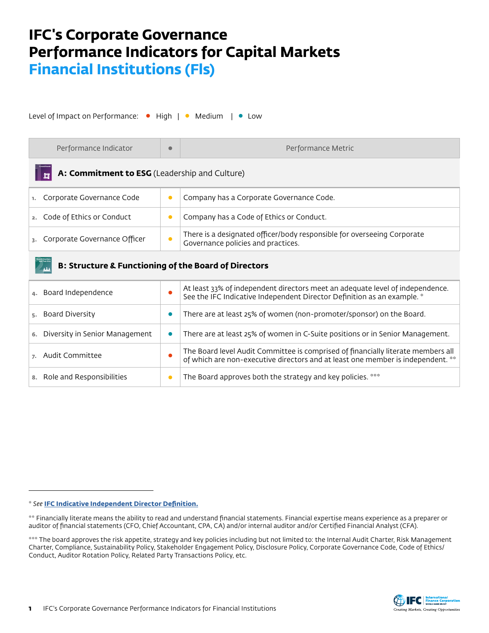# **IFC's Corporate Governance Performance Indicators for Capital Markets Financial Institutions (Fls)**

Level of Impact on Performance: • High | • Medium | • Low

| Performance Indicator                                           | $\bullet$ | Performance Metric                                                                                                                                                  |  |  |
|-----------------------------------------------------------------|-----------|---------------------------------------------------------------------------------------------------------------------------------------------------------------------|--|--|
| A: Commitment to ESG (Leadership and Culture)                   |           |                                                                                                                                                                     |  |  |
| Corporate Governance Code<br>ъ.                                 | $\bullet$ | Company has a Corporate Governance Code.                                                                                                                            |  |  |
| Code of Ethics or Conduct<br>2.                                 | $\bullet$ | Company has a Code of Ethics or Conduct.                                                                                                                            |  |  |
| Corporate Governance Officer                                    | $\bullet$ | There is a designated officer/body responsible for overseeing Corporate<br>Governance policies and practices.                                                       |  |  |
| <b>B: Structure &amp; Functioning of the Board of Directors</b> |           |                                                                                                                                                                     |  |  |
| Board Independence                                              |           | At least 33% of independent directors meet an adequate level of independence.<br>See the IFC Indicative Independent Director Definition as an example. *            |  |  |
| Board Diversity<br>5.                                           | 0         | There are at least 25% of women (non-promoter/sponsor) on the Board.                                                                                                |  |  |
| Diversity in Senior Management                                  | $\bullet$ | There are at least 25% of women in C-Suite positions or in Senior Management.                                                                                       |  |  |
| Audit Committee                                                 | О         | The Board level Audit Committee is comprised of financially literate members all<br>of which are non-executive directors and at least one member is independent. ** |  |  |

<sup>8.</sup> Role and Responsibilities **• The Board approves both the strategy and key policies.** \*\*\*



<sup>\*</sup> *See* **[IFC Indicative Independent Director Definition.](https://www.ifc.org/wps/wcm/connect/b3f84d89-541a-45cc-a7db-41a20c021763/IFC_Indicative_Independent_Director_Definition_062719.pdf?MOD=AJPERES&CVID=mKqqtnW)**

<sup>\*\*</sup> Financially literate means the ability to read and understand financial statements. Financial expertise means experience as a preparer or auditor of financial statements (CFO, Chief Accountant, CPA, CA) and/or internal auditor and/or Certified Financial Analyst (CFA).

<sup>\*\*\*</sup> The board approves the risk appetite, strategy and key policies including but not limited to: the Internal Audit Charter, Risk Management Charter, Compliance, Sustainability Policy, Stakeholder Engagement Policy, Disclosure Policy, Corporate Governance Code, Code of Ethics/ Conduct, Auditor Rotation Policy, Related Party Transactions Policy, etc.